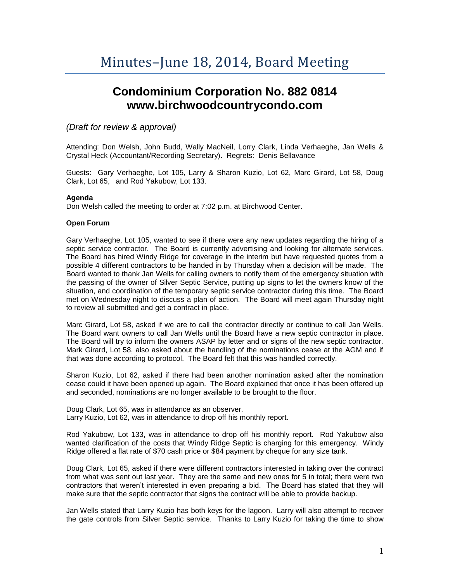# **Condominium Corporation No. 882 0814 www.birchwoodcountrycondo.com**

# *(Draft for review & approval)*

Attending: Don Welsh, John Budd, Wally MacNeil, Lorry Clark, Linda Verhaeghe, Jan Wells & Crystal Heck (Accountant/Recording Secretary). Regrets: Denis Bellavance

Guests: Gary Verhaeghe, Lot 105, Larry & Sharon Kuzio, Lot 62, Marc Girard, Lot 58, Doug Clark, Lot 65, and Rod Yakubow, Lot 133.

#### **Agenda**

Don Welsh called the meeting to order at 7:02 p.m. at Birchwood Center.

#### **Open Forum**

Gary Verhaeghe, Lot 105, wanted to see if there were any new updates regarding the hiring of a septic service contractor. The Board is currently advertising and looking for alternate services. The Board has hired Windy Ridge for coverage in the interim but have requested quotes from a possible 4 different contractors to be handed in by Thursday when a decision will be made. The Board wanted to thank Jan Wells for calling owners to notify them of the emergency situation with the passing of the owner of Silver Septic Service, putting up signs to let the owners know of the situation, and coordination of the temporary septic service contractor during this time. The Board met on Wednesday night to discuss a plan of action. The Board will meet again Thursday night to review all submitted and get a contract in place.

Marc Girard, Lot 58, asked if we are to call the contractor directly or continue to call Jan Wells. The Board want owners to call Jan Wells until the Board have a new septic contractor in place. The Board will try to inform the owners ASAP by letter and or signs of the new septic contractor. Mark Girard, Lot 58, also asked about the handling of the nominations cease at the AGM and if that was done according to protocol. The Board felt that this was handled correctly.

Sharon Kuzio, Lot 62, asked if there had been another nomination asked after the nomination cease could it have been opened up again. The Board explained that once it has been offered up and seconded, nominations are no longer available to be brought to the floor.

Doug Clark, Lot 65, was in attendance as an observer. Larry Kuzio, Lot 62, was in attendance to drop off his monthly report.

Rod Yakubow, Lot 133, was in attendance to drop off his monthly report. Rod Yakubow also wanted clarification of the costs that Windy Ridge Septic is charging for this emergency. Windy Ridge offered a flat rate of \$70 cash price or \$84 payment by cheque for any size tank.

Doug Clark, Lot 65, asked if there were different contractors interested in taking over the contract from what was sent out last year. They are the same and new ones for 5 in total; there were two contractors that weren't interested in even preparing a bid. The Board has stated that they will make sure that the septic contractor that signs the contract will be able to provide backup.

Jan Wells stated that Larry Kuzio has both keys for the lagoon. Larry will also attempt to recover the gate controls from Silver Septic service. Thanks to Larry Kuzio for taking the time to show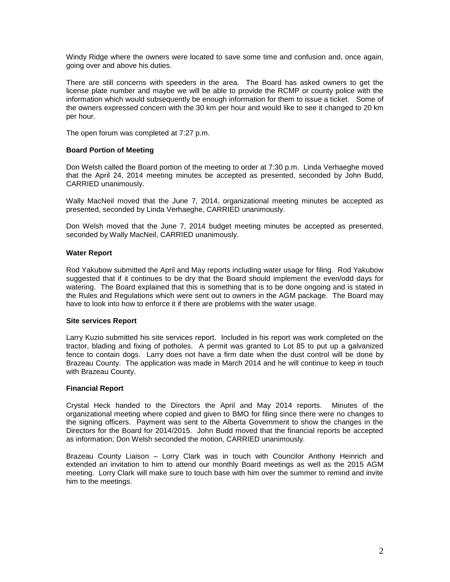Windy Ridge where the owners were located to save some time and confusion and, once again, going over and above his duties.

There are still concerns with speeders in the area. The Board has asked owners to get the license plate number and maybe we will be able to provide the RCMP or county police with the information which would subsequently be enough information for them to issue a ticket. Some of the owners expressed concern with the 30 km per hour and would like to see it changed to 20 km per hour.

The open forum was completed at 7:27 p.m.

# **Board Portion of Meeting**

Don Welsh called the Board portion of the meeting to order at 7:30 p.m. Linda Verhaeghe moved that the April 24, 2014 meeting minutes be accepted as presented, seconded by John Budd, CARRIED unanimously.

Wally MacNeil moved that the June 7, 2014, organizational meeting minutes be accepted as presented, seconded by Linda Verhaeghe, CARRIED unanimously.

Don Welsh moved that the June 7, 2014 budget meeting minutes be accepted as presented, seconded by Wally MacNeil, CARRIED unanimously.

## **Water Report**

Rod Yakubow submitted the April and May reports including water usage for filing. Rod Yakubow suggested that if it continues to be dry that the Board should implement the even/odd days for watering. The Board explained that this is something that is to be done ongoing and is stated in the Rules and Regulations which were sent out to owners in the AGM package. The Board may have to look into how to enforce it if there are problems with the water usage.

#### **Site services Report**

Larry Kuzio submitted his site services report. Included in his report was work completed on the tractor, blading and fixing of potholes. A permit was granted to Lot 85 to put up a galvanized fence to contain dogs. Larry does not have a firm date when the dust control will be done by Brazeau County. The application was made in March 2014 and he will continue to keep in touch with Brazeau County.

#### **Financial Report**

Crystal Heck handed to the Directors the April and May 2014 reports. Minutes of the organizational meeting where copied and given to BMO for filing since there were no changes to the signing officers. Payment was sent to the Alberta Government to show the changes in the Directors for the Board for 2014/2015. John Budd moved that the financial reports be accepted as information; Don Welsh seconded the motion, CARRIED unanimously.

Brazeau County Liaison – Lorry Clark was in touch with Councilor Anthony Heinrich and extended an invitation to him to attend our monthly Board meetings as well as the 2015 AGM meeting. Lorry Clark will make sure to touch base with him over the summer to remind and invite him to the meetings.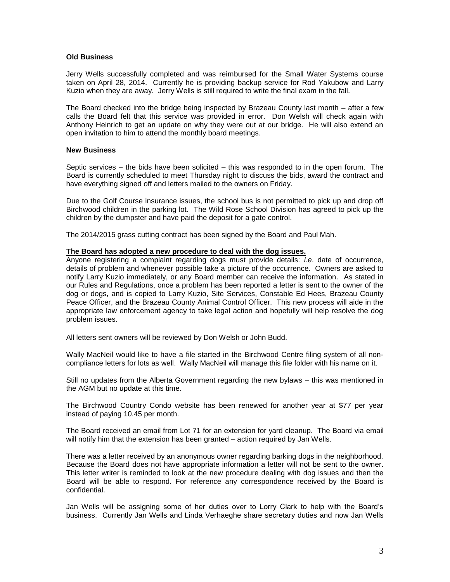#### **Old Business**

Jerry Wells successfully completed and was reimbursed for the Small Water Systems course taken on April 28, 2014. Currently he is providing backup service for Rod Yakubow and Larry Kuzio when they are away. Jerry Wells is still required to write the final exam in the fall.

The Board checked into the bridge being inspected by Brazeau County last month – after a few calls the Board felt that this service was provided in error. Don Welsh will check again with Anthony Heinrich to get an update on why they were out at our bridge. He will also extend an open invitation to him to attend the monthly board meetings.

#### **New Business**

Septic services – the bids have been solicited – this was responded to in the open forum. The Board is currently scheduled to meet Thursday night to discuss the bids, award the contract and have everything signed off and letters mailed to the owners on Friday.

Due to the Golf Course insurance issues, the school bus is not permitted to pick up and drop off Birchwood children in the parking lot. The Wild Rose School Division has agreed to pick up the children by the dumpster and have paid the deposit for a gate control.

The 2014/2015 grass cutting contract has been signed by the Board and Paul Mah.

#### **The Board has adopted a new procedure to deal with the dog issues.**

Anyone registering a complaint regarding dogs must provide details: *i.e*. date of occurrence, details of problem and whenever possible take a picture of the occurrence. Owners are asked to notify Larry Kuzio immediately, or any Board member can receive the information. As stated in our Rules and Regulations, once a problem has been reported a letter is sent to the owner of the dog or dogs, and is copied to Larry Kuzio, Site Services, Constable Ed Hees, Brazeau County Peace Officer, and the Brazeau County Animal Control Officer. This new process will aide in the appropriate law enforcement agency to take legal action and hopefully will help resolve the dog problem issues.

All letters sent owners will be reviewed by Don Welsh or John Budd.

Wally MacNeil would like to have a file started in the Birchwood Centre filing system of all noncompliance letters for lots as well. Wally MacNeil will manage this file folder with his name on it.

Still no updates from the Alberta Government regarding the new bylaws – this was mentioned in the AGM but no update at this time.

The Birchwood Country Condo website has been renewed for another year at \$77 per year instead of paying 10.45 per month.

The Board received an email from Lot 71 for an extension for yard cleanup. The Board via email will notify him that the extension has been granted – action required by Jan Wells.

There was a letter received by an anonymous owner regarding barking dogs in the neighborhood. Because the Board does not have appropriate information a letter will not be sent to the owner. This letter writer is reminded to look at the new procedure dealing with dog issues and then the Board will be able to respond. For reference any correspondence received by the Board is confidential.

Jan Wells will be assigning some of her duties over to Lorry Clark to help with the Board's business. Currently Jan Wells and Linda Verhaeghe share secretary duties and now Jan Wells